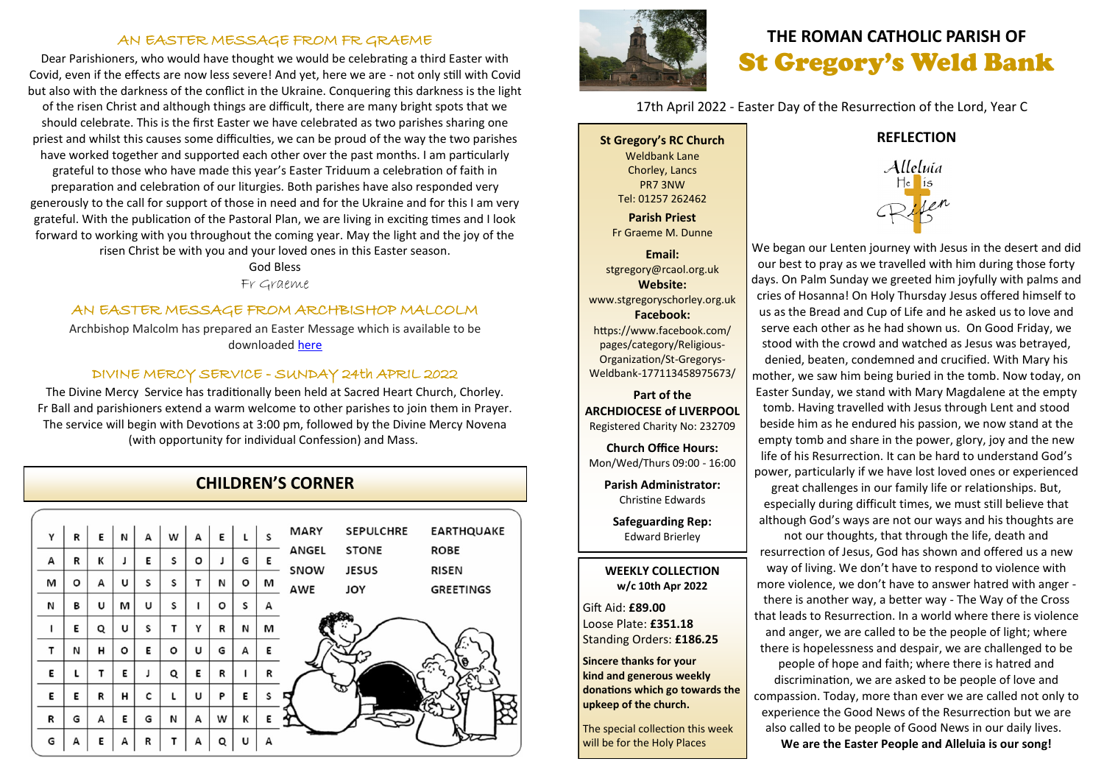#### AN EASTER MESSAGE FROM FR GRAEME

Dear Parishioners, who would have thought we would be celebrating a third Easter with Covid, even if the effects are now less severe! And yet, here we are - not only still with Covid but also with the darkness of the conflict in the Ukraine. Conquering this darkness is the light of the risen Christ and although things are difficult, there are many bright spots that we should celebrate. This is the first Easter we have celebrated as two parishes sharing one priest and whilst this causes some difficulties, we can be proud of the way the two parishes have worked together and supported each other over the past months. I am particularly grateful to those who have made this year's Easter Triduum a celebration of faith in preparation and celebration of our liturgies. Both parishes have also responded very generously to the call for support of those in need and for the Ukraine and for this I am very grateful. With the publication of the Pastoral Plan, we are living in exciting times and I look forward to working with you throughout the coming year. May the light and the joy of the risen Christ be with you and your loved ones in this Easter season.

God Bless

Fr Graeme

#### AN EASTER MESSAGE FROM ARCHBISHOP MALCOLM

Archbishop Malcolm has prepared an Easter Message which is available to be downloaded [here](http://www.liverpoolcatholic.org.uk/index.php?p=2503)

#### DIVINE MERCY SERVICE - SUNDAY 24th APRIL 2022

The Divine Mercy Service has traditionally been held at Sacred Heart Church, Chorley. Fr Ball and parishioners extend a warm welcome to other parishes to join them in Prayer. The service will begin with Devotions at 3:00 pm, followed by the Divine Mercy Novena (with opportunity for individual Confession) and Mass.

### **CHILDREN'S CORNER**

| Y | R | E | N | А | w | А       | E | L | S | <b>MARY</b> | <b>SEPULCHRE</b>           | <b>EARTHQUAKE</b>                |
|---|---|---|---|---|---|---------|---|---|---|-------------|----------------------------|----------------------------------|
| А | R | К |   | E | S | $\circ$ |   | G | Ε | ANGEL       | <b>STONE</b>               | <b>ROBE</b>                      |
| м | o | А | U | S | S | т       | N | o | м | SNOW<br>AWE | <b>JESUS</b><br><b>JOY</b> | <b>RISEN</b><br><b>GREETINGS</b> |
| N | в | U | м | U | S |         | o | S | А |             |                            |                                  |
| ı | Е | Q | U | S | т | Υ       | R | N | м |             |                            |                                  |
| T | И | н | o | Ε | o | U       | G | А | E |             |                            |                                  |
| E | L | т | E | J | Q | E       | R | 1 | R |             |                            | 6                                |
| E | Е | R | н | c | L | U       | P | E | S |             | অ                          |                                  |
| R | G | А | Е | G | N | А       | w | К | E |             |                            |                                  |
| G | А | E | А | R | т | А       | Q | U | А |             |                            |                                  |
|   |   |   |   |   |   |         |   |   |   |             |                            |                                  |



# **THE ROMAN CATHOLIC PARISH OF** St Gregory's Weld Bank

17th April 2022 - Easter Day of the Resurrection of the Lord, Year C

**St Gregory's RC Church** Weldbank Lane Chorley, Lancs PR7 3NW Tel: 01257 262462

**Parish Priest** Fr Graeme M. Dunne

**Email:** stgregory@rcaol.org.uk **Website:** www.stgregoryschorley.org.uk **Facebook:** https://www.facebook.com/ pages/category/Religious-Organization/St-Gregorys-Weldbank-177113458975673/

#### **Part of the ARCHDIOCESE of LIVERPOOL**  Registered Charity No: 232709

**Church Office Hours:** Mon/Wed/Thurs 09:00 - 16:00

**Parish Administrator:** Christine Edwards

**Safeguarding Rep:** Edward Brierley

#### **WEEKLY COLLECTION w/c 10th Apr 2022**

Gift Aid: **£89.00** Loose Plate: **£351.18** Standing Orders: **£186.25**

**Sincere thanks for your kind and generous weekly donations which go towards the upkeep of the church.** 

The special collection this week will be for the Holy Places

#### **REFLECTION**



We began our Lenten journey with Jesus in the desert and did our best to pray as we travelled with him during those forty days. On Palm Sunday we greeted him joyfully with palms and cries of Hosanna! On Holy Thursday Jesus offered himself to us as the Bread and Cup of Life and he asked us to love and serve each other as he had shown us. On Good Friday, we stood with the crowd and watched as Jesus was betrayed, denied, beaten, condemned and crucified. With Mary his mother, we saw him being buried in the tomb. Now today, on Easter Sunday, we stand with Mary Magdalene at the empty tomb. Having travelled with Jesus through Lent and stood beside him as he endured his passion, we now stand at the empty tomb and share in the power, glory, joy and the new life of his Resurrection. It can be hard to understand God's power, particularly if we have lost loved ones or experienced

great challenges in our family life or relationships. But, especially during difficult times, we must still believe that although God's ways are not our ways and his thoughts are

not our thoughts, that through the life, death and resurrection of Jesus, God has shown and offered us a new way of living. We don't have to respond to violence with more violence, we don't have to answer hatred with anger there is another way, a better way - The Way of the Cross that leads to Resurrection. In a world where there is violence and anger, we are called to be the people of light; where there is hopelessness and despair, we are challenged to be people of hope and faith; where there is hatred and discrimination, we are asked to be people of love and compassion. Today, more than ever we are called not only to experience the Good News of the Resurrection but we are also called to be people of Good News in our daily lives.

**We are the Easter People and Alleluia is our song!**